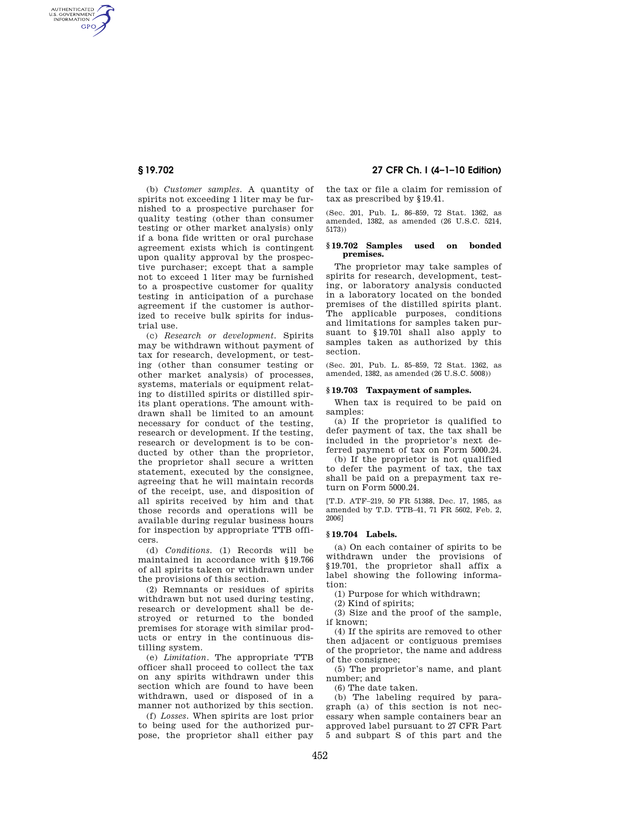AUTHENTICATED<br>U.S. GOVERNMENT<br>INFORMATION GPO

> (b) *Customer samples.* A quantity of spirits not exceeding 1 liter may be furnished to a prospective purchaser for quality testing (other than consumer testing or other market analysis) only if a bona fide written or oral purchase agreement exists which is contingent upon quality approval by the prospective purchaser; except that a sample not to exceed 1 liter may be furnished to a prospective customer for quality testing in anticipation of a purchase agreement if the customer is authorized to receive bulk spirits for industrial use.

> (c) *Research or development.* Spirits may be withdrawn without payment of tax for research, development, or testing (other than consumer testing or other market analysis) of processes, systems, materials or equipment relating to distilled spirits or distilled spirits plant operations. The amount withdrawn shall be limited to an amount necessary for conduct of the testing, research or development. If the testing, research or development is to be conducted by other than the proprietor, the proprietor shall secure a written statement, executed by the consignee, agreeing that he will maintain records of the receipt, use, and disposition of all spirits received by him and that those records and operations will be available during regular business hours for inspection by appropriate TTB officers.

> (d) *Conditions.* (1) Records will be maintained in accordance with §19.766 of all spirits taken or withdrawn under the provisions of this section.

> (2) Remnants or residues of spirits withdrawn but not used during testing, research or development shall be destroyed or returned to the bonded premises for storage with similar products or entry in the continuous distilling system.

> (e) *Limitation.* The appropriate TTB officer shall proceed to collect the tax on any spirits withdrawn under this section which are found to have been withdrawn, used or disposed of in a manner not authorized by this section.

> (f) *Losses.* When spirits are lost prior to being used for the authorized purpose, the proprietor shall either pay

**§ 19.702 27 CFR Ch. I (4–1–10 Edition)** 

the tax or file a claim for remission of tax as prescribed by §19.41.

(Sec. 201, Pub. L. 86–859, 72 Stat. 1362, as amended, 1382, as amended (26 U.S.C. 5214, 5173))

# **§ 19.702 Samples used on bonded premises.**

The proprietor may take samples of spirits for research, development, testing, or laboratory analysis conducted in a laboratory located on the bonded premises of the distilled spirits plant. The applicable purposes, conditions and limitations for samples taken pursuant to §19.701 shall also apply to samples taken as authorized by this section.

(Sec. 201, Pub. L. 85–859, 72 Stat. 1362, as amended, 1382, as amended (26 U.S.C. 5008))

## **§ 19.703 Taxpayment of samples.**

When tax is required to be paid on samples:

(a) If the proprietor is qualified to defer payment of tax, the tax shall be included in the proprietor's next deferred payment of tax on Form 5000.24.

(b) If the proprietor is not qualified to defer the payment of tax, the tax shall be paid on a prepayment tax return on Form 5000.24.

[T.D. ATF–219, 50 FR 51388, Dec. 17, 1985, as amended by T.D. TTB–41, 71 FR 5602, Feb. 2, 2006]

### **§ 19.704 Labels.**

(a) On each container of spirits to be withdrawn under the provisions of §19.701, the proprietor shall affix a label showing the following information:

(1) Purpose for which withdrawn;

(2) Kind of spirits;

(3) Size and the proof of the sample, if known;

(4) If the spirits are removed to other then adjacent or contiguous premises of the proprietor, the name and address of the consignee;

(5) The proprietor's name, and plant number; and

(6) The date taken.

(b) The labeling required by paragraph (a) of this section is not necessary when sample containers bear an approved label pursuant to 27 CFR Part 5 and subpart S of this part and the